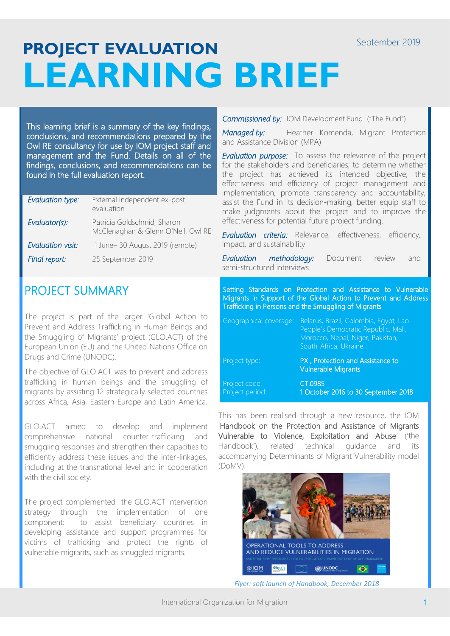# **PROJECT EVALUATION LEARNING BRIEF**

This learning brief is a summary of the key findings, conclusions, and recommendations prepared by the Owl RE consultancy for use by IOM project staff and management and the Fund. Details on all of the findings, conclusions, and recommendations can be found in the full evaluation report.

| Evaluation type:         | External independent ex-post<br>evaluation                        |
|--------------------------|-------------------------------------------------------------------|
| Evaluator(s):            | Patricia Goldschmid, Sharon<br>McClenaghan & Glenn O'Neil, Owl RE |
| <b>Evaluation visit:</b> | 1 June-30 August 2019 (remote)                                    |
| Final report:            | 25 September 2019                                                 |

## PROJECT SUMMARY

The project is part of the larger 'Global Action to Prevent and Address Trafficking in Human Beings and the Smuggling of Migrants' project (GLO.ACT) of the European Union (EU) and the United Nations Office on Drugs and Crime (UNODC).

The objective of GLO.ACT was to prevent and address trafficking in human beings and the smuggling of migrants by assisting 12 strategically selected countries across Africa, Asia, Eastern Europe and Latin America.

GLO.ACT aimed to develop and implement comprehensive national counter-trafficking and smuggling responses and strengthen their capacities to efficiently address these issues and the inter-linkages, including at the transnational level and in cooperation with the civil society.

The project complemented the GLO.ACT intervention strategy through the implementation of one component: to assist beneficiary countries in developing assistance and support programmes for victims of trafficking and protect the rights of vulnerable migrants, such as smuggled migrants.

*Commissioned by:* IOM Development Fund ("The Fund")

*Managed by:* Heather Komenda, Migrant Protection and Assistance Division (MPA)

*Evaluation purpose:* To assess the relevance of the project for the stakeholders and beneficiaries, to determine whether the project has achieved its intended objective; the effectiveness and efficiency of project management and implementation; promote transparency and accountability, assist the Fund in its decision-making, better equip staff to make judgments about the project and to improve the effectiveness for potential future project funding.

*Evaluation criteria:* Relevance, effectiveness, efficiency, impact, and sustainability

*Evaluation methodology:* Document review and semi-structured interviews

Setting Standards on Protection and Assistance to Vulnerable Migrants in Support of the Global Action to Prevent and Address Trafficking in Persons and the Smuggling of Migrants

| Geographical coverage:           | Belarus, Brazil, Colombia, Egypt, Lao<br>People's Democratic Republic, Mali,<br>Morocco, Nepal, Niger, Pakistan,<br>South Africa, Ukraine. |
|----------------------------------|--------------------------------------------------------------------------------------------------------------------------------------------|
| Project type:                    | PX, Protection and Assistance to<br><b>Vulnerable Migrants</b>                                                                             |
| Project code:<br>Project period: | CT.0985<br>1 October 2016 to 30 September 2018                                                                                             |

This has been realised through a new resource, the IOM 'Handbook on the Protection and Assistance of Migrants Vulnerable to Violence, Exploitation and Abuse' ('the Handbook'), related technical guidance and its accompanying Determinants of Migrant Vulnerability model (DoMV).



*Flyer: soft launch of Handbook, December 2018*